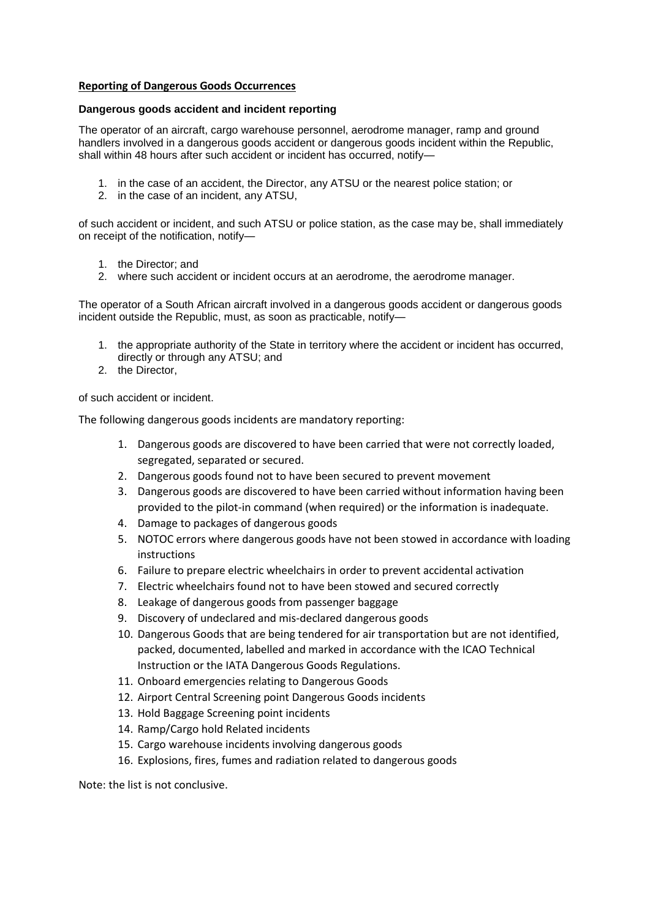## **Reporting of Dangerous Goods Occurrences**

## **Dangerous goods accident and incident reporting**

The operator of an aircraft, cargo warehouse personnel, aerodrome manager, ramp and ground handlers involved in a dangerous goods accident or dangerous goods incident within the Republic, shall within 48 hours after such accident or incident has occurred, notify—

- 1. in the case of an accident, the Director, any ATSU or the nearest police station; or
- 2. in the case of an incident, any ATSU,

of such accident or incident, and such ATSU or police station, as the case may be, shall immediately on receipt of the notification, notify—

- 1. the Director; and
- 2. where such accident or incident occurs at an aerodrome, the aerodrome manager.

The operator of a South African aircraft involved in a dangerous goods accident or dangerous goods incident outside the Republic, must, as soon as practicable, notify—

- 1. the appropriate authority of the State in territory where the accident or incident has occurred, directly or through any ATSU; and
- 2. the Director,

of such accident or incident.

The following dangerous goods incidents are mandatory reporting:

- 1. Dangerous goods are discovered to have been carried that were not correctly loaded, segregated, separated or secured.
- 2. Dangerous goods found not to have been secured to prevent movement
- 3. Dangerous goods are discovered to have been carried without information having been provided to the pilot-in command (when required) or the information is inadequate.
- 4. Damage to packages of dangerous goods
- 5. NOTOC errors where dangerous goods have not been stowed in accordance with loading instructions
- 6. Failure to prepare electric wheelchairs in order to prevent accidental activation
- 7. Electric wheelchairs found not to have been stowed and secured correctly
- 8. Leakage of dangerous goods from passenger baggage
- 9. Discovery of undeclared and mis-declared dangerous goods
- 10. Dangerous Goods that are being tendered for air transportation but are not identified, packed, documented, labelled and marked in accordance with the ICAO Technical Instruction or the IATA Dangerous Goods Regulations.
- 11. Onboard emergencies relating to Dangerous Goods
- 12. Airport Central Screening point Dangerous Goods incidents
- 13. Hold Baggage Screening point incidents
- 14. Ramp/Cargo hold Related incidents
- 15. Cargo warehouse incidents involving dangerous goods
- 16. Explosions, fires, fumes and radiation related to dangerous goods

Note: the list is not conclusive.